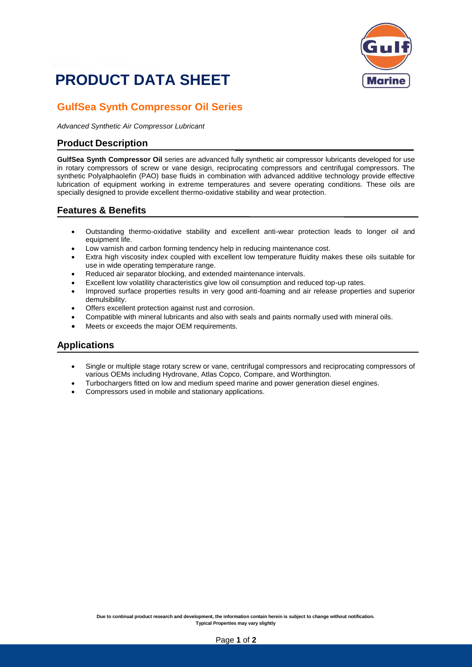# **PRODUCT DATA SHEET**



### **GulfSea Synth Compressor Oil Series**

*Advanced Synthetic Air Compressor Lubricant*

#### **Product Description**

**GulfSea Synth Compressor Oil** series are advanced fully synthetic air compressor lubricants developed for use in rotary compressors of screw or vane design, reciprocating compressors and centrifugal compressors. The synthetic Polyalphaolefin (PAO) base fluids in combination with advanced additive technology provide effective lubrication of equipment working in extreme temperatures and severe operating conditions. These oils are specially designed to provide excellent thermo-oxidative stability and wear protection.

#### **Features & Benefits**

- Outstanding thermo-oxidative stability and excellent anti-wear protection leads to longer oil and equipment life.
- Low varnish and carbon forming tendency help in reducing maintenance cost.
- Extra high viscosity index coupled with excellent low temperature fluidity makes these oils suitable for use in wide operating temperature range.
- Reduced air separator blocking, and extended maintenance intervals.
- Excellent low volatility characteristics give low oil consumption and reduced top-up rates.
- Improved surface properties results in very good anti-foaming and air release properties and superior demulsibility.
- Offers excellent protection against rust and corrosion.
- Compatible with mineral lubricants and also with seals and paints normally used with mineral oils.
- Meets or exceeds the major OEM requirements.

#### **Applications**

- Single or multiple stage rotary screw or vane, centrifugal compressors and reciprocating compressors of various OEMs including Hydrovane, Atlas Copco, Compare, and Worthington.
- Turbochargers fitted on low and medium speed marine and power generation diesel engines.
- Compressors used in mobile and stationary applications.